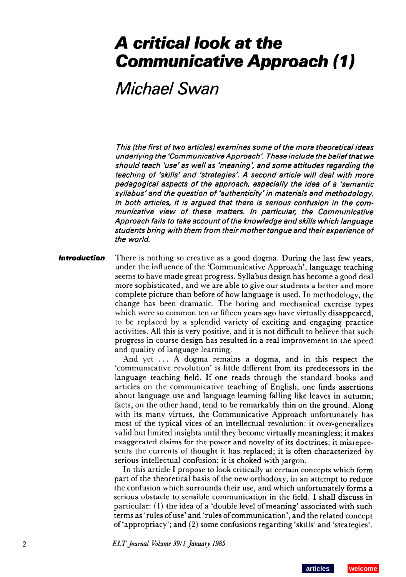## *A critical look at the Communicative Approach (1)*

*Michael Swan* 

*This (the first of two articles) examines some of the more theoretical ideas underlying the 'Communicative Approach'. These include the belief that we should teach 'use' as well as 'meaning; and some attitudes regarding the teaching of 'skills' and 'strategies'. A second article will deal with more pedagogical aspects of the approach, especially the idea of a 'semantic syllabus' and the question of 'authenticity' in materials and methodology. In both articles, it is argued that there is serious confusion in the communicative view of these matters. In particular, the Communicative Approach fails to take account of the knowledge and skills which language students bring with them from their mother tongue and their experience of the world.* 

Introduction There is nothing so creative as a good dogma. During the last few years, under the influence of the 'Communicative Approach', language teaching seems to have made great progress. Syllabus design has become a good deal more sophisticated, and we are able to give our students a better and more complete picture than before of how language is used. In methodology, the change has been dramatic. The boring and mechanical exercise types which were so common ten or fifteen years ago have virtually disappeared, to be replaced by a splendid variety of exciting and engaging practice activities. All this is very positive, and it is not difficult to believe that such progress in course design has resulted in a real improvement in the speed and quality of language learning.

> And yet ... A dogma remains a dogma, and in this respect the 'communicative revolution' is little different from its predecessors in the language teaching field. If one reads through the standard books and articles on the communicative teaching of English, one finds assertions about language use and language learning falling like leaves in autumn; facts, on the other hand, tend to be remarkably thin on the ground. Along with its many virtues, the Communicative Approach unfortunately has most of the typical vices of an intellectual revolution: it over-generalizes valid but limited insights until they become virtually meaningless; it makes exaggerated claims for the power and novelty of its doctrines; it misrepresents the currents of thought it has replaced; it is often characterized by serious intellectual confusion; it is choked with jargon.

> In this article I propose to look critically at certain concepts which form part of the theoretical basis of the new orthodoxy, in an attempt to reduce the confusion which surrounds their use, and which unfortunately forms a serious obstacle to sensible communication in the field. I shall discuss in particular: (1) the idea of a 'double level of meaning' associated with such terms as 'rules of use' and 'rules of communication', and the related concept of 'appropriacy'; and (2) some confusions regarding 'skills' and 'strategies'.

*ELT Journal Volume 39/1 January 1985*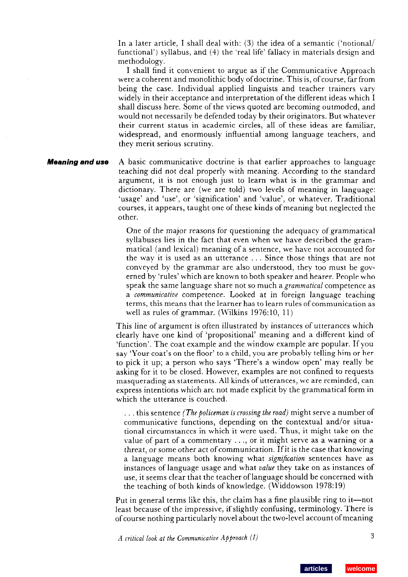In a later article, I shall deal with: (3) the idea of a semantic ('notional/ functional') syllabus, and (4) the 'real life' fallacy in materials design and methodology.

I shall find it convenient to argue as if the Communicative Approach were a coherent and monolithic body of doctrine. This is, of course, far from being the case. Individual applied linguists and teacher trainers vary widely in their acceptance and interpretation of the different ideas which I shall discuss here. Some of the views quoted are becoming outmoded, and would not necessarily be defended today by their originators. But whatever their current status in academic circles, all of these ideas are familiar, widespread, and enormously influential among language teachers, and they merit serious scrutiny.

**Meaning and use** A basic communicative doctrine is that earlier approaches to language teaching did not deal properly with meaning. According to the standard argument, it is not enough just to learn what is in the grammar and dictionary. There are (we are told) two levels of meaning in language: 'usage' and 'use', or 'signification' and 'value', or whatever. Traditional courses, it appears, taught one of these kinds of meaning but neglected the other.

> One of the major reasons for questioning the adequacy of grammatical syllabuses lies in the fact that even when we have described the grammatical (and lexical) meaning of a sentence, we have not accounted for the way it is used as an utterance . . . Since those things that are not conveyed by the grammar are also understood, they too must be governed by 'rules' which are known to both speaker and hearer. People who speak the same language share not so much a *grammatical* competence as a *communicative* competence. Looked at in foreign language teaching terms, this means that the learner has to learn rules of communication as well as rules of grammar. (Wilkins 1976:10,11)

This line of argument is often illustrated by instances of utterances which clearly have one kind of 'propositional' meaning and a different kind of 'function'. The coat example and the window example are popular. If you say 'Your coat's on the floor' to a child, you are probably telling him or her to pick it up; a person who says 'There's a window open' may really be asking for it to be closed. However, examples are not confined to requests masquerading as statements. All kinds of utterances, we are reminded, can express intentions which arc not made explicit by the grammatical form in which the utterance is couched.

. . this sentence *(The policeman is crossing the road)* might serve a number of communicative functions, depending on the contextual and/or situational circumstances in which it were used. Thus, it might take on the value of part of a commentary . . ., or it might serve as a warning or a threat, or some other act of communication. If it is the case that knowing a language means both knowing what *signification* sentences have as instances of language usage and what value they take on as instances of use, it seems clear that the teacher of language should be concerned with the teaching of both kinds of knowledge. (Widdowson 1978:19)

Put in general terms like this, the claim has a fine plausible ring to it—not least because of the impressive, if slightly confusing, terminology. There is of course nothing particularly novel about the two-level account of meaning

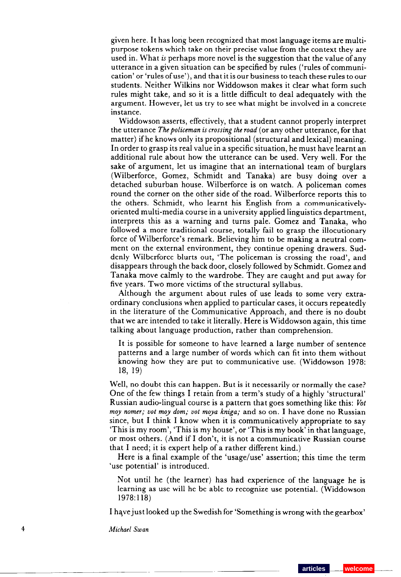given here. It has long been recognized that most language items are multipurpose tokens which take on their precise value from the context they are used in. What is perhaps more novel is the suggestion that the value of any utterance in a given situation can be specified by rules ('rules of communication' or 'rules of use'), and that it is our business to teach these rules to our students. Neither Wilkins nor Widdowson makes it clear what form such rules might take, and so it is a little difficult to deal adequately with the argument. However, let us try to see what might be involved in a concrete instance.

Widdowson asserts, effectively, that a student cannot properly interpret the utterance *The policeman is crossing the road* (or any other utterance, for that matter) if he knows only its propositional (structural and lexical) meaning. In order to grasp its real value in a specific situation, he must have learnt an additional rule about how the utterance can be used. Very well. For the sake of argument, let us imagine that an international team of burglars (Wilberforce, Gomez, Schmidt and Tanaka) are busy doing over a detached suburban house. Wilberforce is on watch. A policeman comes round the corner on the other side of the road. Wilberforce reports this to the others. Schmidt, who learnt his English from a communicativelyoriented multi-media course in a university applied linguistics department, interprets this as a warning and turns pale. Gomez and Tanaka, who followed a more traditional course, totally fail to grasp the illocutionary force of Wilberforce's remark. Believing him to be making a neutral comment on the external environment, they continue opening drawers. Suddenly Wilberforce blurts out, 'The policeman is crossing the road', and disappears through the back door, closely followed by Schmidt. Gomez and Tanaka move calmly to the wardrobe. They are caught and put away for five years. Two more victims of the structural syllabus.

Although the argument about rules of use leads to some very extraordinary conclusions when applied to particular cases, it occurs repeatedly in the literature of the Communicative Approach, and there is no doubt that we are intended to take it literally. Here is Widdowson again, this time talking about language production, rather than comprehension.

It is possible for someone to have learned a large number of sentence patterns and a large number of words which can fit into them without knowing how they are put to communicative use. (Widdowson 1978: 18, 19)

Well, no doubt this can happen. But is it necessarily or normally the case? One of the few things I retain from a term's study of a highly 'structural' Russian audio-lingual course is a pattern that goes something like this: Vot *moy nomer; vot moy dom; vot moya kniga;* and so on. I have done no Russian since, but I think I know when it is communicatively appropriate to say 'This is my room', 'This is my house', or 'This is my book' in that language, or most others. (And if I don't, it is not a communicative Russian course that I need; it is expert help of a rather different kind.)

Here is a final example of the 'usage/use' assertion; this time the term 'use potential' is introduced.

Not until he (the learner) has had experience of the language he is learning as use will he be able to recognize use potential. (Widdowson 1978: 118)

I have just looked up the Swedish for 'Something is wrong with the gearbox'

*Michael Swan*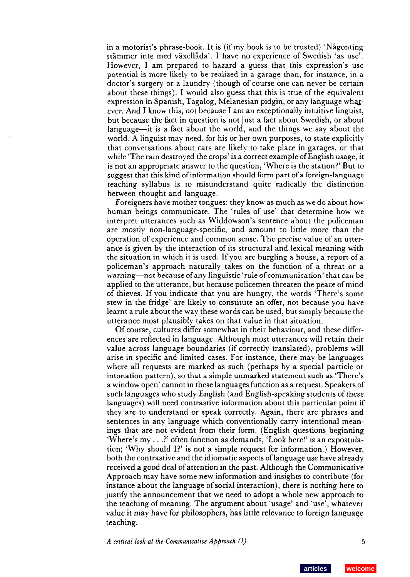in a motorist's phrase-book. It is (if my book is to be trusted) 'Någonting stämmer inte med växellåda'. I have no experience of Swedish 'as use'. However, I am prepared to hazard a guess that this expression's use potential is more likely to be realized in a garage than, for instance, in a doctor's surgery or a laundry (though of course one can never be certain about these things). I would also guess that this is true of the equivalent expression in Spanish, Tagalog, Melanesian pidgin, or any language whatever. And I know this, not because I am an exceptionally intuitive linguist, but because the fact in question is not just a fact about Swedish, or about language—it is a fact about the world, and the things we say about the world. A linguist may need, for his or her own purposes, to state explicitly that conversations about cars are likely to take place in garages, or that while 'The rain destroyed the crops' is a correct example of English usage, it is not an appropriate answer to the question, 'Where is the station?' But to suggest that this kind of information should form part of a foreign-language teaching syllabus is to misunderstand quite radically the distinction between thought and language.

Foreigners have mother tongues: they know as much as we do about how human beings communicate. The 'rules of use' that determine how we interpret utterances such as Widdowson's sentence about the policeman are mostly non-language-specific, and amount to little more than the operation of experience and common sense. The precise value of an utterance is given by the interaction of its structural and lexical meaning with the situation in which it is used. If you are burgling a house, a report of a policeman's approach naturally takes on the function of a threat or a warning—not because of any linguistic 'rule of communication' that can be applied to the utterance, but because policemen threaten the peace of mind of thieves. If you indicate that you are hungry, the words 'There's some stew in the fridge' are likely to constitute an offer, not because you have learnt a rule about the way these words can be used, but simply because the utterance most plausibly takes on that value in that situation.

Of course, cultures differ somewhat in their behaviour, and these differences are reflected in language. Although most utterances will retain their value across language boundaries (if correctly translated), problems will arise in specific and limited cases. For instance, there may be languages where all requests are marked as such (perhaps by a special particle or intonation pattern), so that a simple unmarked statement such as 'There's a window open' cannot in these languages function as a request. Speakers of such languages who study English (and English-speaking students of these languages) will need contrastive information about this particular point if they are to understand or speak correctly. Again, there are phrases and sentences in any language which conventionally carry intentional meanings that are not evident from their form. (English questions beginning 'Where's my . . .?' often function as demands; 'Look here!' is an expostulation; 'Why should I?' is not a simple request for information.) However, both the contrastive and the idiomatic aspects of language use have already received a good deal of attention in the past. Although the Communicative Approach may have some new information and insights to contribute (for instance about the language of social interaction), there is nothing here to justify the announcement that we need to adopt a whole new approach to the teaching of meaning. The argument about 'usage' and 'use', whatever value it may have for philosophers, has little relevance to foreign language teaching.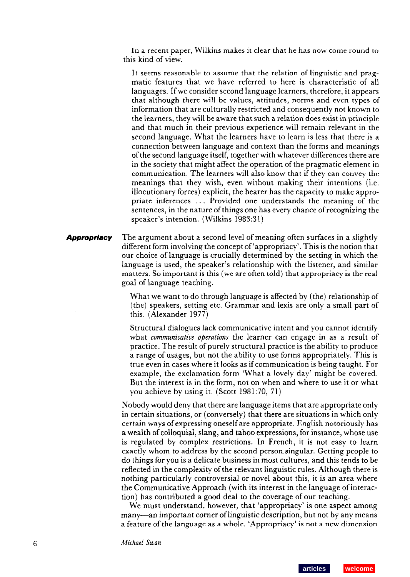In a recent paper, Wilkins makes it clear that he has now come round to this kind of view.

It seems reasonable to assume that the relation of linguistic and pragmatic features that we have referred to here is characteristic of all languages. If we consider second language learners, therefore, it appears that although there will be values, attitudes, norms and even types of information that are culturally restricted and consequently not known to the learners, they will be aware that such a relation does exist in principle and that much in their previous experience will remain relevant in the second language. What the learners have to learn is less that there is a connection between language and context than the forms and meanings of the second language itself, together with whatever differences there are in the society that might affect the operation of the pragmatic element in communication. The learners will also know that if they can convey the meanings that they wish, even without making their intentions (i.e. illocutionary forces) explicit, the hearer has the capacity to make appropriate inferences . . . Provided one understands the meaning of the sentences, in the nature of things one has every chance of recognizing the speaker's intention. (Wilkins 1983:31)

**Appropriacy** The argument about a second level of meaning often surfaces in a slightly different form involving the concept of 'appropriacy'. This is the notion that our choice of language is crucially determined by the setting in which the language is used, the speaker's relationship with the listener, and similar matters. So important is this (we are often told) that appropriacy is the real goal of language teaching.

> What we want to do through language is affected by (the) relationship of (the) speakers, setting etc. Grammar and lexis are only a small part of this. (Alexander 1977)

> Structural dialogues lack communicative intent and you cannot identify what *communicative operations* the learner can engage in as a result of practice. The result of purely structural practice is the ability to produce a range of usages, but not the ability to use forms appropriately. This is true even in cases where it looks as ifcommunication is being taught. For example, the exclamation form 'What a lovely day' might be covered. But the interest is in the form, not on when and where to use it or what you achieve by using it. (Scott 1981:70, 71)

Nobody would deny that there are language items that are appropriate only in certain situations, or (conversely) that there are situations in which only certain ways of expressing oneself are appropriate. English notoriously has a wealth of colloquial, slang, and taboo expressions, for instance, whose use is regulated by complex restrictions. In French, it is not easy to learn exactly whom to address by the second person singular. Getting people to do things for you is a delicate business in most cultures, and this tends to be reflected in the complexity of the relevant linguistic rules. Although there is nothing particularly controversial or novel about this, it is an area where the Communicative Approach (with its interest in the language of interaction) has contributed a good deal to the coverage of our teaching.

We must understand, however, that 'appropriacy' is one aspect among many-an important corner oflinguistic description, but not by any means a feature of the language as a whole. 'Appropriacy' is not a new dimension

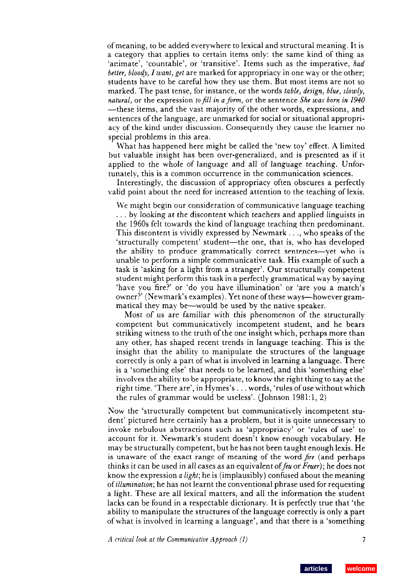of meaning, to be added everywhere to lexical and structural meaning. It is a category that applies to certain items only: the same kind of thing as 'animate', 'countable', or 'transitive'. Items such as the imperative, *had better, bloody,* I *want, get* are marked for appropriacy in one way or the other; students have to be careful how they use them. But most items are not so marked. The past tense, for instance, or the words *table, design, blue, slowly, natural,* or the expression *to fill in a form,* or the sentence *She was born in 1910*  - these items, and the vast majority of the other words, expressions, and sentences of the language, are unmarked for social or situational appropriacy of the kind under discussion. Consequently they cause the learner no special problems in this area.

What has happened here might be called the 'new toy' effect. A limited but valuable insight has been over-generalized, and is presented as if it applied to the whole of language and all of language teaching. Unfortunately, this is a common occurrence in the communication sciences.

Interestingly, the discussion of appropriacy often obscures a perfectly valid point about the need for increased attention to the teaching of lexis.

We might begin our consideration of communicative language teaching ... by looking at the discontent which teachers and applied linguists in the 1960s felt towards the kind of language teaching then predominant. This discontent is vividly expressed by Newmark . . ., who speaks of the 'structurally competent' student—the one, that is, who has developed the ability to produce grammatically correct sentences—yet who is unable to perform a simple communicative task. His example of such a task is 'asking for a light from a stranger'. Our structurally competent student might perform this task in a perfectly grammatical way by saying 'have you fire?' or 'do you have illumination' or 'are you a match's owner?' (Newmark's examples). Yet none of these ways—however grammatical they may be—would be used by the native speaker.

Most of us are familiar with this phenomenon of the structurally competent but communicatively incompetent student, and he bears striking witness to the truth of the one insight which, perhaps more than any other, has shaped recent trends in language teaching. This is the insight that the ability to manipulate the structures of the language correctly is only a part of what is involved in learning a language. There is a 'something else' that needs to be learned, and this 'something else' involves the ability to be appropriate, to know the right thing to say at the right time. 'There are', in Hymes's . . . words, 'rules of use without which the rules of grammar would be useless'. (Johnson 1981:1, 2)

Now the 'structurally competent but communicatively incompetent student' pictured here certainly has a problem, but it is quite unnecessary to invoke nebulous abstractions such as 'appropriacy' or 'rules of use' to account for it. Newmark's student doesn't know enough vocabulary. He may be structurally competent, but he has not been taught enough lexis. He is unaware of the exact range of meaning of the word *fire* (and perhaps thinks it can be used in all cases as an equivalent of *feu* or *Feuer);* he does not know the expression *a light;* he is (implausibly) confused about the meaning of *illumination;* he has not learnt the conventional phrase used for requesting a light. These are all lexical matters, and all the information the student lacks can be found in a respectable dictionary. It is perfectly true that 'the ability to manipulate the structures of the language correctly is only a part of what is involved in learning a language', and that there is a 'something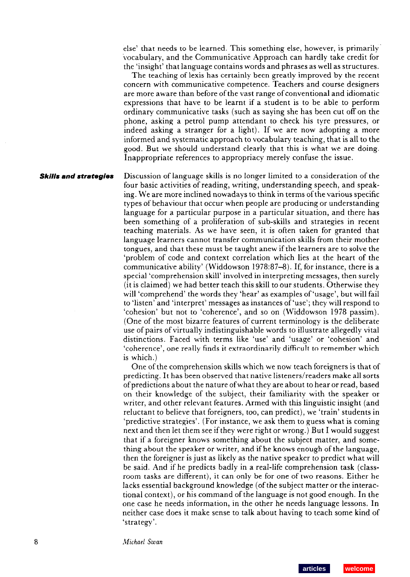else' that needs to be learned. This something else, however, is primarily vocabulary, and the Communicative Approach can hardly take credit for the 'insight' that language contains words and phrases as well as structures.

The teaching of lexis has certainly been greatly improved by the recent concern with communicative competence. Teachers and course designers are more aware than before of the vast range of conventional and idiomatic expressions that have to be learnt if a student is to be able to perform ordinary communicative tasks (such as saying she has been cut off on the phone, asking a petrol pump attendant to check his tyre pressures, or indeed asking a stranger for a light). If we are now adopting a more informed and systematic approach to vocabulary teaching, that is all to the good. But we should understand clearly that this is what we are doing. Inappropriate references to appropriacy merely confuse the issue.

*Skills end strategies* Discussion of language skills is no longer limited to a consideration of the four basic activities of reading, writing, understanding speech, and speaking. We are more inclined nowadays to think in terms of the various specific types of behaviour that occur when people are producing or understanding language for a particular purpose in a particular situation, and there has been something of a proliferation of sub-skills and strategies in recent teaching materials. As we have seen, it is often taken for granted that language learners cannot transfer communication skills from their mother tongues, and that these must be taught anew if the learners are to solve the 'problem of code and context correlation which lies at the heart of the communicative ability' (Widdowson 1978:87-8). If, for instance, there is a special 'comprehension skill' involved in interpreting messages, then surely (it is claimed) we had better teach this skill to our students. Otherwise they will 'comprehend' the words they 'hear' as examples of 'usage', but will fail to 'listen' and 'interpret' messages as instances of 'use'; they will respond to 'cohesion' but not to 'coherence', and so on (Widdowson 1978 passim). (One of the most bizarre features of current terminology is the deliberate use of pairs of virtually indistinguishable words to illustrate allegedly vital distinctions. Faced with terms like 'use' and 'usage' or 'cohesion' and 'coherence', one really finds it extraordinarily difficult to remember which is which.)

> One of the comprehension skills which we now teach foreigners is that of predicting. It has been observed that native listeners/readers make all sorts ofpredictions about the nature of what they are about to hear or read, based on their knowledge of the subject, their familiarity with the speaker or writer, and other relevant features. Armed with this linguistic insight (and reluctant to believe that foreigners, too, can predict), we 'train' students in 'predictive strategies'. (For instance, we ask them to guess what is coming next and then let them see if they were right or wrong.) But I would suggest that if a foreigner knows something about the subject matter, and something about the speaker or writer, and if he knows enough of the language, then the foreigner is just as likely as the native speaker to predict what will be said. And if he predicts badly in a real-life comprehension task (classroom tasks are different), it can only be for one of two reasons. Either he lacks essential background knowledge (of the subject matter or the interactional context), or his command of the language is not good enough. In the one case he needs information, in the other he needs language lessons. In neither case does it make sense to talk about having to teach some kind of 'strategy'.

> > **articles welcome**

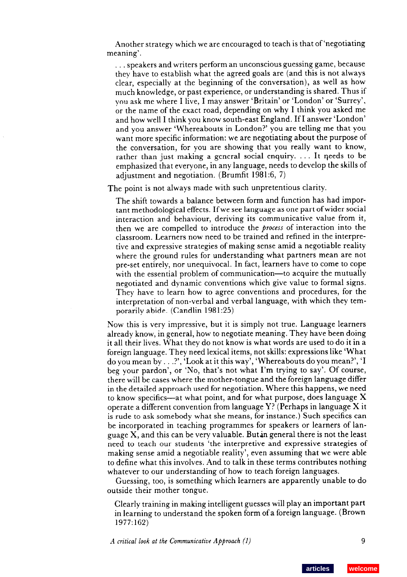Another strategy which we are encouraged to teach is that of 'negotiating meaning'.

. . speakers and writers perform an unconscious guessing game, because they have to establish what the agreed goals are (and this is not always clear, especially at the beginning of the conversation), as well as how much knowledge, or past experience, or understanding is shared. Thus if you ask me where I live, I may answer 'Britain' or 'London' or 'Surrey', or the name of the exact road, depending on why I think you asked me and how well I think you know south-east England. If I answer 'London' and you answer 'Whereabouts in London?' you are telling me that you want more specific information: we are negotiating about the purpose of the conversation, for you are showing that you really want to know, rather than just making a general social enquiry. . . . It needs to be emphasized that everyone, in any language, needs to develop the skills of adjustment and negotiation. (Brumfit 1981:6, 7)

The point is not always made with such unpretentious clarity.

The shift towards a balance between form and function has had important methodological effects. If we see language as one part of wider social interaction and behaviour, deriving its communicative value from it, then we are compelled to introduce the *process* of interaction into the classroom. Learners now need to be trained and refined in the interpretive and expressive strategies of making sense amid a negotiable reality where the ground rules for understanding what partners mean are not pre-set entirely, nor unequivocal. In fact, learners have to come to cope with the essential problem of communication—to acquire the mutually negotiated and dynamic conventions which give value to formal signs. They have to learn how to agree conventions and procedures, for the interpretation of non-verbal and verbal language, with which they temporarily abide. (Candlin 1981:25)

Now this is very impressive, but it is simply not true. Language learners already know, in general, how to negotiate meaning. They have been doing it all their lives. What they do not know is what words are used to do it in a foreign language. They need lexical items, not skills: expressions like 'What do you mean by. . .?', 'Look at it this way', 'Whereabouts do you mean?', 'I beg your pardon', or 'No, that's not what I'm trying to say'. Of course, there will be cases where the mother-tongue and the foreign language differ in the detailed approach used for negotiation. Where this happens, we need to know specifics—at what point, and for what purpose, does language  $X$ operate a different convention from language Y? (Perhaps in language X it is rude to ask somebody what she means, for instance.) Such specifics can be incorporated in teaching programmes for speakers or learners of language  $X$ , and this can be very valuable. But in general there is not the least need to teach our students 'the interpretive and expressive strategies of making sense amid a negotiable reality', even assuming that we were able to define what this involves. And to talk in these terms contributes nothing whatever to our understanding of how to teach foreign languages.

Guessing, too, is something which learners are apparently unable to do outside their mother tongue.

Clearly training in making intelligent guesses will play an important part in learning to understand the spoken form of a foreign language. (Brown 1977:162)

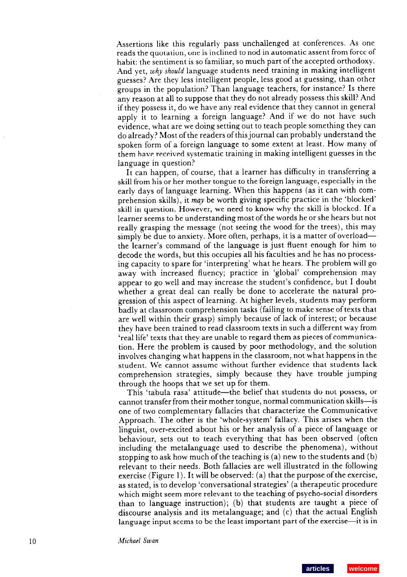Assertions like this regularly pass unchallenged at conferences. As one reads the quotation, one is inclined to nod in automatic assent from force of habit: the sentiment is so familiar, so much part of the accepted orthodoxy. And yet, *why should* language students need training in making intelligent guesses? Are they less intelligent people, less good at guessing, than other groups in the population? Than language teachers, for instance? Is there any reason at all to suppose that they do not already possess this skill? And if they possess it, do we have any real evidence that they cannot in general apply it to learning a foreign language? And if we do not have such evidence, what are we doing setting out to teach people something they can do already? Most of the readers of this journal can probably understand the spoken form of a foreign language to some extent at least. How many of them have received systematic training in making intelligent guesses in the language in question?

It can happen, of course, that a learner has difficulty in transferring a skill from his or her mother tongue to the foreign language, especially in the early days of language learning. When this happens (as it can with comprehension skills), it *may* be worth giving specific practice in the 'blocked' skill in question. However, we need to know why the skill is blocked. If a learner seems to be understanding most of the words he or she hears but not really grasping the message (not seeing the wood for the trees), this may simply be due to anxiety. More often, perhaps, it is a matter of overload the learner's command of the language is just fluent enough for him to decode the words, but this occupies all his faculties and he has no processing capacity to spare for 'interpreting' what he hears. The problem will go away with increased fluency; practice in 'global' comprehension may appear to go well and may increase the student's confidence, but I doubt whether a great deal can really be done to accelerate the natural progression of this aspect of learning. At higher levels, students may perform badly at classroom comprehension tasks (failing to make sense of texts that are well within their grasp) simply because of lack of interest; or because they have been trained to read classroom texts in such a different way from 'real life' texts that they are unable to regard them as pieces of communication. Here the problem is caused by poor methodology, and the solution involves changing what happens in the classroom, not what happens in the student. We cannot assume without further evidence that students lack comprehension strategies, simply because they have trouble jumping through the hoops that we set up for them.

This 'tabula rasa' attitude-the belief that students do not possess, or cannot transfer from their mother tongue, normal communication skills-is one of two complementary fallacies that characterize the Communicative Approach. The other is the 'whole-system' fallacy. This arises when the linguist, over-excited about his or her analysis of a piece of language or behaviour, sets out to teach everything that has been observed (often including the metalanguage used to describe the phenomena), without stopping to ask how much of the teaching is (a) new to the students and (b) relevant to their needs. Both fallacies are well illustrated in the following exercise (Figure 1). It will be observed: (a) that the purpose of the exercise, as stated, is to develop 'conversational strategies' (a therapeutic procedure which might seem more relevant to the teaching of psycho-social disorders than to language instruction); (b) that students are taught a piece of discourse analysis and its metalanguage; and (c) that the actual English language input seems to be the least important part of the exercise-it is in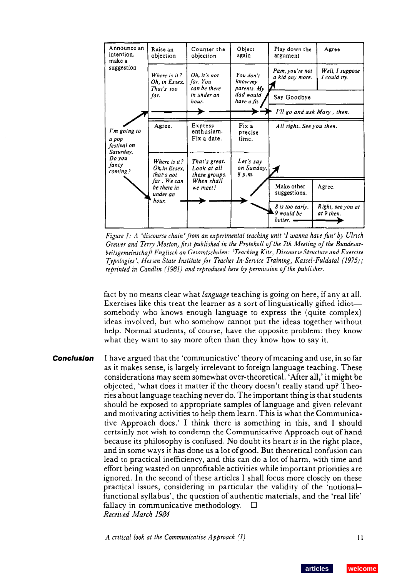

*Figure 1: A 'discourse chain' from an experimental teaching unit 'I wanna have fun' by Ulrich Grewer and Terry Moston, first published in the Protokoll of the 7th Meeting of the Bundesarbeitsgemeinschaft Englisch an Gesamtschulen: 'Teaching Kits, Discourse Structure and Exercise Typologies', Hessen State Institute for Teacher In-Service Training, Kassel-Fuldatal (1975); reprinted in Candlin (1981) and reproduced here by permission of the publisher.* 

fact by no means clear what *language* teaching is going on here, if any at all. Exercises like this treat the learner as a sort of linguistically gifted idiot somebody who knows enough language to express the (quite complex) ideas involved, but who somehow cannot put the ideas together without help. Normal students, of course, have the opposite problem: they know what they want to say more often than they know how to say it.

*Conclusion* I have argued that the 'communicative' theory of meaning and use, in so far as it makes sense, is largely irrelevant to foreign language teaching. These considerations may seem somewhat over-theoretical. 'After all,' it might be objected, 'what does it matter if the theory doesn't really stand up? Theories about language teaching never do. The important thing is that students should be exposed to appropriate samples of language and given relevant and motivating activities to help them learn. This is what the Communicative Approach does.' I think there is something in this, and I should certainly not wish to condemn the Communicative Approach out of hand because its philosophy is confused. No doubt its heart *is* in the right place, and in some ways it has done us a lot of good. But theoretical confusion can lead to practical inefficiency, and this can do a lot of harm, with time and effort being wasted on unprofitable activities while important priorities are ignored. In the second of these articles I shall focus more closely on these practical issues, considering in particular the validity of the 'notionalfunctional syllabus', the question of authentic materials, and the 'real life' fallacy in communicative methodology.  $\Box$ *Received March 1984*